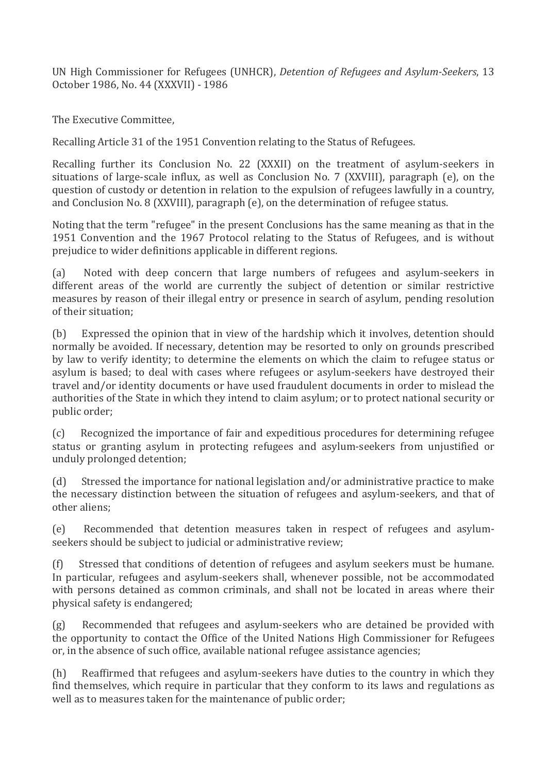UN High Commissioner for Refugees (UNHCR), *Detention of Refugees and Asylum-Seekers*, 13 October 1986, No. 44 (XXXVII) - 1986

The Executive Committee.

Recalling Article 31 of the 1951 Convention relating to the Status of Refugees.

Recalling further its Conclusion No. 22 (XXXII) on the treatment of asylum-seekers in situations of large-scale influx, as well as Conclusion No. 7 (XXVIII), paragraph (e), on the question of custody or detention in relation to the expulsion of refugees lawfully in a country, and Conclusion No. 8 (XXVIII), paragraph (e), on the determination of refugee status.

Noting that the term "refugee" in the present Conclusions has the same meaning as that in the 1951 Convention and the 1967 Protocol relating to the Status of Refugees, and is without prejudice to wider definitions applicable in different regions.

(a) Noted with deep concern that large numbers of refugees and asylum-seekers in different areas of the world are currently the subject of detention or similar restrictive measures by reason of their illegal entry or presence in search of asylum, pending resolution of their situation:

(b) Expressed the opinion that in view of the hardship which it involves, detention should normally be avoided. If necessary, detention may be resorted to only on grounds prescribed by law to verify identity; to determine the elements on which the claim to refugee status or asylum is based; to deal with cases where refugees or asylum-seekers have destroyed their travel and/or identity documents or have used fraudulent documents in order to mislead the authorities of the State in which they intend to claim asylum; or to protect national security or public order;

(c) Recognized the importance of fair and expeditious procedures for determining refugee status or granting asylum in protecting refugees and asylum-seekers from unjustified or unduly prolonged detention;

(d) Stressed the importance for national legislation and/or administrative practice to make the necessary distinction between the situation of refugees and asylum- seekers, and that of other aliens:

(e) Recommended that detention measures taken in respect of refugees and asylumseekers should be subject to judicial or administrative review;

(f) Stressed that conditions of detention of refugees and asylum seekers must be humane. In particular, refugees and asylum-seekers shall, whenever possible, not be accommodated with persons detained as common criminals, and shall not be located in areas where their physical safety is endangered;

(g) Recommended that refugees and asylum- seekers who are detained be provided with the opportunity to contact the Office of the United Nations High Commissioner for Refugees or, in the absence of such office, available national refugee assistance agencies;

(h)  $\frac{R}{R}$  Reaffirmed that refugees and asylum-seekers have duties to the country in which they find themselves, which require in particular that they conform to its laws and regulations as well as to measures taken for the maintenance of public order;